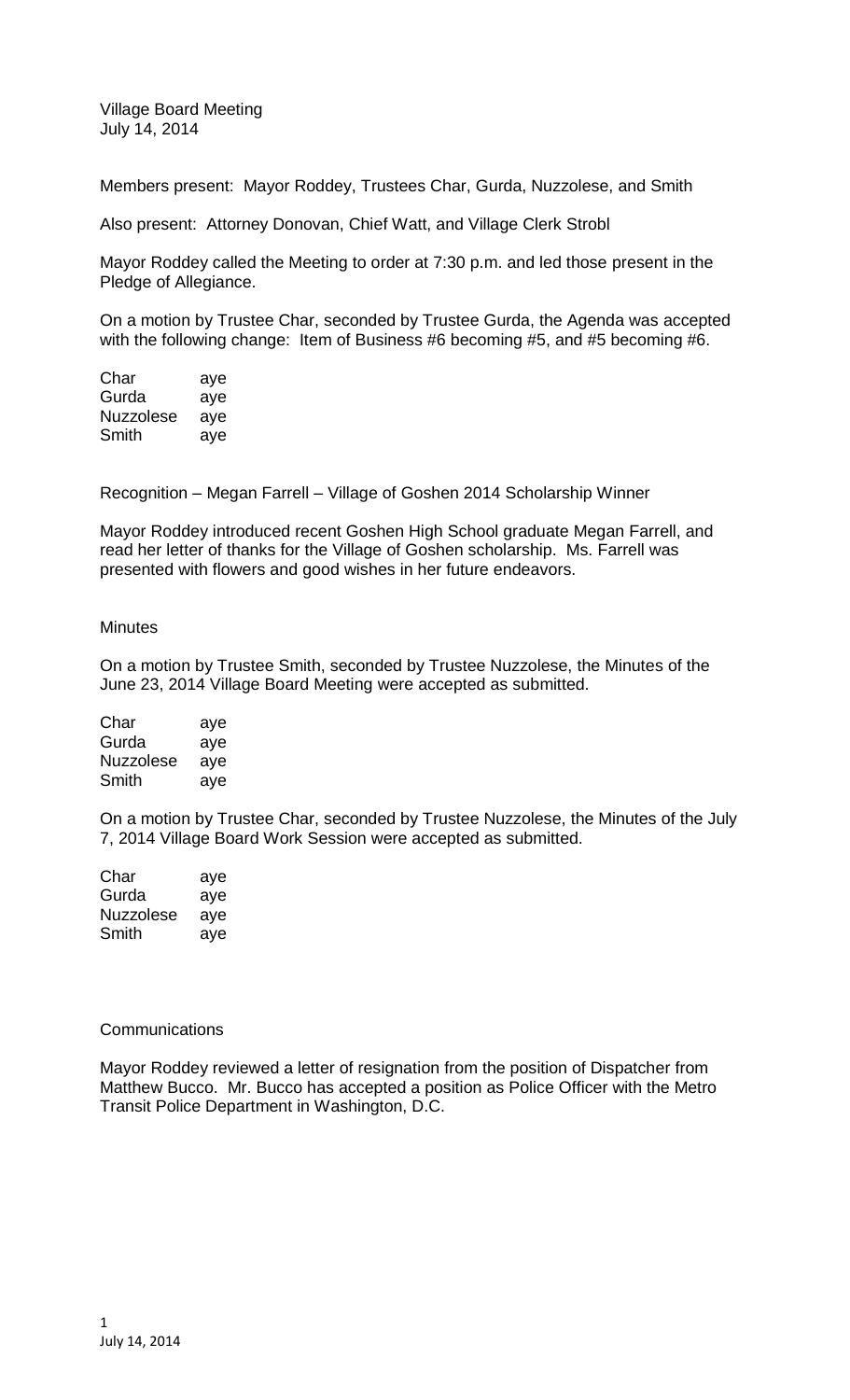Village Board Meeting July 14, 2014

Members present: Mayor Roddey, Trustees Char, Gurda, Nuzzolese, and Smith

Also present: Attorney Donovan, Chief Watt, and Village Clerk Strobl

Mayor Roddey called the Meeting to order at 7:30 p.m. and led those present in the Pledge of Allegiance.

On a motion by Trustee Char, seconded by Trustee Gurda, the Agenda was accepted with the following change: Item of Business #6 becoming #5, and #5 becoming #6.

| aye |
|-----|
| aye |
| aye |
| aye |
|     |

Recognition – Megan Farrell – Village of Goshen 2014 Scholarship Winner

Mayor Roddey introduced recent Goshen High School graduate Megan Farrell, and read her letter of thanks for the Village of Goshen scholarship. Ms. Farrell was presented with flowers and good wishes in her future endeavors.

## **Minutes**

On a motion by Trustee Smith, seconded by Trustee Nuzzolese, the Minutes of the June 23, 2014 Village Board Meeting were accepted as submitted.

| Char             | aye |
|------------------|-----|
| Gurda            | aye |
| <b>Nuzzolese</b> | aye |
| Smith            | ave |

On a motion by Trustee Char, seconded by Trustee Nuzzolese, the Minutes of the July 7, 2014 Village Board Work Session were accepted as submitted.

| Char      | aye |
|-----------|-----|
| Gurda     | aye |
| Nuzzolese | aye |
| Smith     | aye |

## **Communications**

Mayor Roddey reviewed a letter of resignation from the position of Dispatcher from Matthew Bucco. Mr. Bucco has accepted a position as Police Officer with the Metro Transit Police Department in Washington, D.C.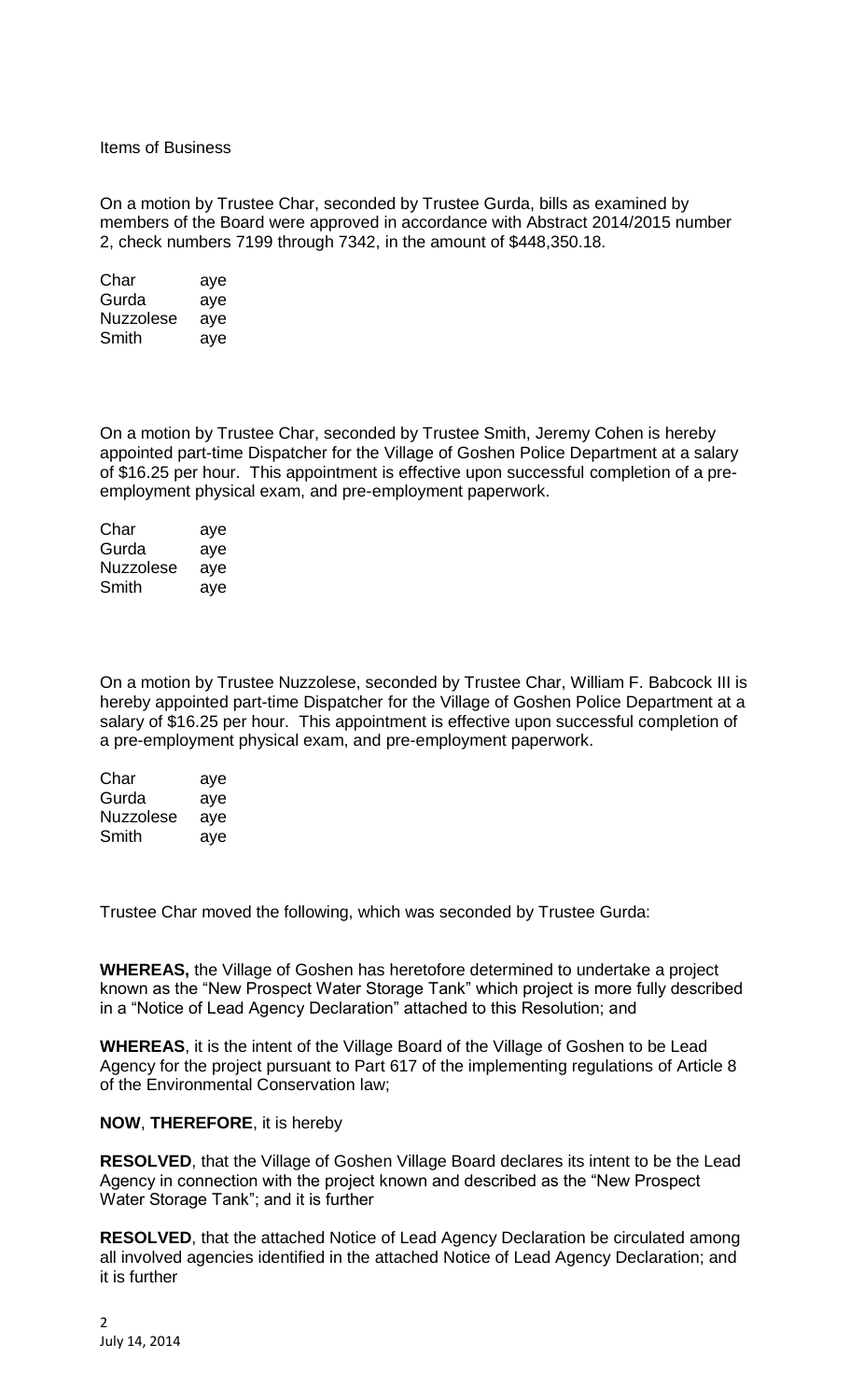Items of Business

On a motion by Trustee Char, seconded by Trustee Gurda, bills as examined by members of the Board were approved in accordance with Abstract 2014/2015 number 2, check numbers 7199 through 7342, in the amount of \$448,350.18.

| Char             | aye |
|------------------|-----|
| Gurda            | aye |
| <b>Nuzzolese</b> | aye |
| Smith            | aye |

On a motion by Trustee Char, seconded by Trustee Smith, Jeremy Cohen is hereby appointed part-time Dispatcher for the Village of Goshen Police Department at a salary of \$16.25 per hour. This appointment is effective upon successful completion of a preemployment physical exam, and pre-employment paperwork.

| Char             | aye |
|------------------|-----|
| Gurda            | aye |
| <b>Nuzzolese</b> | aye |
| Smith            | aye |

On a motion by Trustee Nuzzolese, seconded by Trustee Char, William F. Babcock III is hereby appointed part-time Dispatcher for the Village of Goshen Police Department at a salary of \$16.25 per hour. This appointment is effective upon successful completion of a pre-employment physical exam, and pre-employment paperwork.

| Char             | aye |
|------------------|-----|
| Gurda            | aye |
| <b>Nuzzolese</b> | aye |
| Smith            | aye |

Trustee Char moved the following, which was seconded by Trustee Gurda:

**WHEREAS,** the Village of Goshen has heretofore determined to undertake a project known as the "New Prospect Water Storage Tank" which project is more fully described in a "Notice of Lead Agency Declaration" attached to this Resolution; and

**WHEREAS**, it is the intent of the Village Board of the Village of Goshen to be Lead Agency for the project pursuant to Part 617 of the implementing regulations of Article 8 of the Environmental Conservation law;

# **NOW**, **THEREFORE**, it is hereby

**RESOLVED**, that the Village of Goshen Village Board declares its intent to be the Lead Agency in connection with the project known and described as the "New Prospect Water Storage Tank"; and it is further

**RESOLVED**, that the attached Notice of Lead Agency Declaration be circulated among all involved agencies identified in the attached Notice of Lead Agency Declaration; and it is further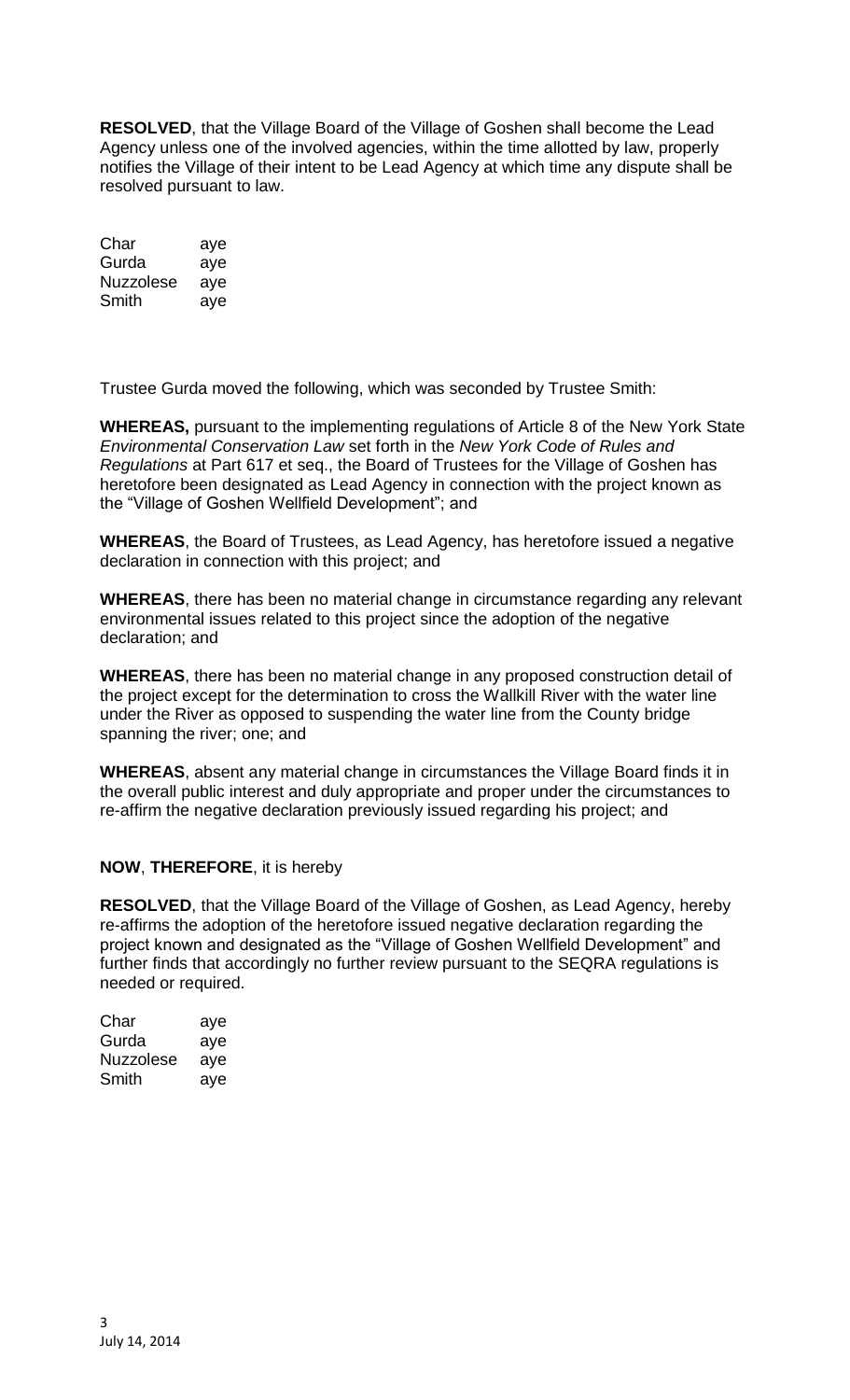**RESOLVED**, that the Village Board of the Village of Goshen shall become the Lead Agency unless one of the involved agencies, within the time allotted by law, properly notifies the Village of their intent to be Lead Agency at which time any dispute shall be resolved pursuant to law.

| Char      | aye |
|-----------|-----|
| Gurda     | aye |
| Nuzzolese | aye |
| Smith     | aye |

Trustee Gurda moved the following, which was seconded by Trustee Smith:

**WHEREAS,** pursuant to the implementing regulations of Article 8 of the New York State *Environmental Conservation Law* set forth in the *New York Code of Rules and Regulations* at Part 617 et seq., the Board of Trustees for the Village of Goshen has heretofore been designated as Lead Agency in connection with the project known as the "Village of Goshen Wellfield Development"; and

**WHEREAS**, the Board of Trustees, as Lead Agency, has heretofore issued a negative declaration in connection with this project; and

**WHEREAS**, there has been no material change in circumstance regarding any relevant environmental issues related to this project since the adoption of the negative declaration; and

**WHEREAS**, there has been no material change in any proposed construction detail of the project except for the determination to cross the Wallkill River with the water line under the River as opposed to suspending the water line from the County bridge spanning the river; one; and

**WHEREAS**, absent any material change in circumstances the Village Board finds it in the overall public interest and duly appropriate and proper under the circumstances to re-affirm the negative declaration previously issued regarding his project; and

# **NOW**, **THEREFORE**, it is hereby

**RESOLVED**, that the Village Board of the Village of Goshen, as Lead Agency, hereby re-affirms the adoption of the heretofore issued negative declaration regarding the project known and designated as the "Village of Goshen Wellfield Development" and further finds that accordingly no further review pursuant to the SEQRA regulations is needed or required.

| Char             | aye |
|------------------|-----|
| Gurda            | aye |
| <b>Nuzzolese</b> | aye |
| Smith            | ave |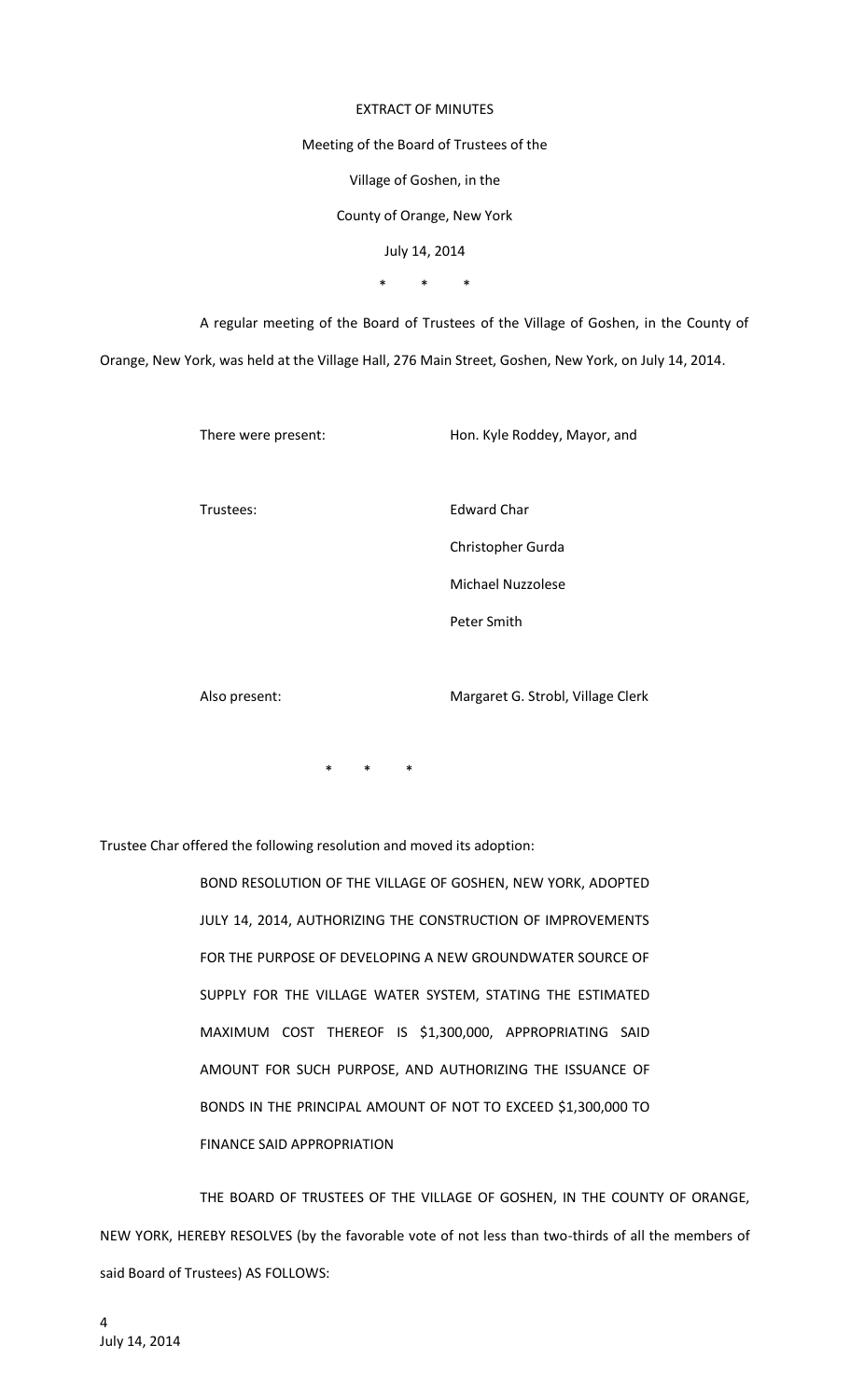#### EXTRACT OF MINUTES

#### Meeting of the Board of Trustees of the

Village of Goshen, in the

## County of Orange, New York

July 14, 2014

\* \* \*

A regular meeting of the Board of Trustees of the Village of Goshen, in the County of Orange, New York, was held at the Village Hall, 276 Main Street, Goshen, New York, on July 14, 2014.

There were present: Hon. Kyle Roddey, Mayor, and

Trustees: Edward Char

Christopher Gurda

Michael Nuzzolese

Peter Smith

Also present: Margaret G. Strobl, Village Clerk

 $\ddot{x}$ 

Trustee Char offered the following resolution and moved its adoption:

BOND RESOLUTION OF THE VILLAGE OF GOSHEN, NEW YORK, ADOPTED JULY 14, 2014, AUTHORIZING THE CONSTRUCTION OF IMPROVEMENTS FOR THE PURPOSE OF DEVELOPING A NEW GROUNDWATER SOURCE OF SUPPLY FOR THE VILLAGE WATER SYSTEM, STATING THE ESTIMATED MAXIMUM COST THEREOF IS \$1,300,000, APPROPRIATING SAID AMOUNT FOR SUCH PURPOSE, AND AUTHORIZING THE ISSUANCE OF BONDS IN THE PRINCIPAL AMOUNT OF NOT TO EXCEED \$1,300,000 TO FINANCE SAID APPROPRIATION

THE BOARD OF TRUSTEES OF THE VILLAGE OF GOSHEN, IN THE COUNTY OF ORANGE, NEW YORK, HEREBY RESOLVES (by the favorable vote of not less than two-thirds of all the members of said Board of Trustees) AS FOLLOWS: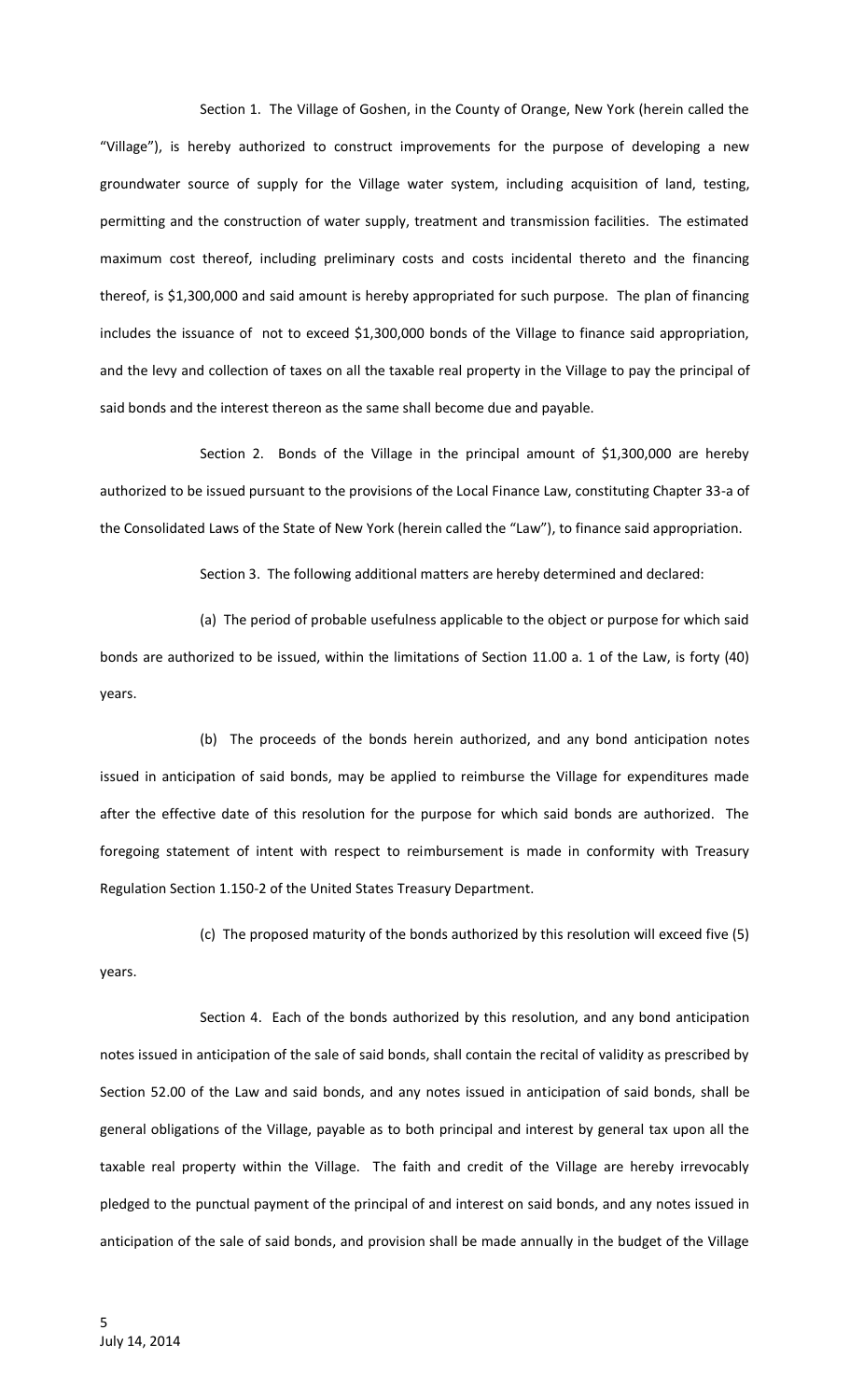Section 1. The Village of Goshen, in the County of Orange, New York (herein called the "Village"), is hereby authorized to construct improvements for the purpose of developing a new groundwater source of supply for the Village water system, including acquisition of land, testing, permitting and the construction of water supply, treatment and transmission facilities. The estimated maximum cost thereof, including preliminary costs and costs incidental thereto and the financing thereof, is \$1,300,000 and said amount is hereby appropriated for such purpose. The plan of financing includes the issuance of not to exceed \$1,300,000 bonds of the Village to finance said appropriation, and the levy and collection of taxes on all the taxable real property in the Village to pay the principal of said bonds and the interest thereon as the same shall become due and payable.

Section 2. Bonds of the Village in the principal amount of \$1,300,000 are hereby authorized to be issued pursuant to the provisions of the Local Finance Law, constituting Chapter 33-a of the Consolidated Laws of the State of New York (herein called the "Law"), to finance said appropriation.

Section 3. The following additional matters are hereby determined and declared:

(a) The period of probable usefulness applicable to the object or purpose for which said bonds are authorized to be issued, within the limitations of Section 11.00 a. 1 of the Law, is forty (40) years.

(b) The proceeds of the bonds herein authorized, and any bond anticipation notes issued in anticipation of said bonds, may be applied to reimburse the Village for expenditures made after the effective date of this resolution for the purpose for which said bonds are authorized. The foregoing statement of intent with respect to reimbursement is made in conformity with Treasury Regulation Section 1.150-2 of the United States Treasury Department.

(c) The proposed maturity of the bonds authorized by this resolution will exceed five (5) years.

Section 4. Each of the bonds authorized by this resolution, and any bond anticipation notes issued in anticipation of the sale of said bonds, shall contain the recital of validity as prescribed by Section 52.00 of the Law and said bonds, and any notes issued in anticipation of said bonds, shall be general obligations of the Village, payable as to both principal and interest by general tax upon all the taxable real property within the Village. The faith and credit of the Village are hereby irrevocably pledged to the punctual payment of the principal of and interest on said bonds, and any notes issued in anticipation of the sale of said bonds, and provision shall be made annually in the budget of the Village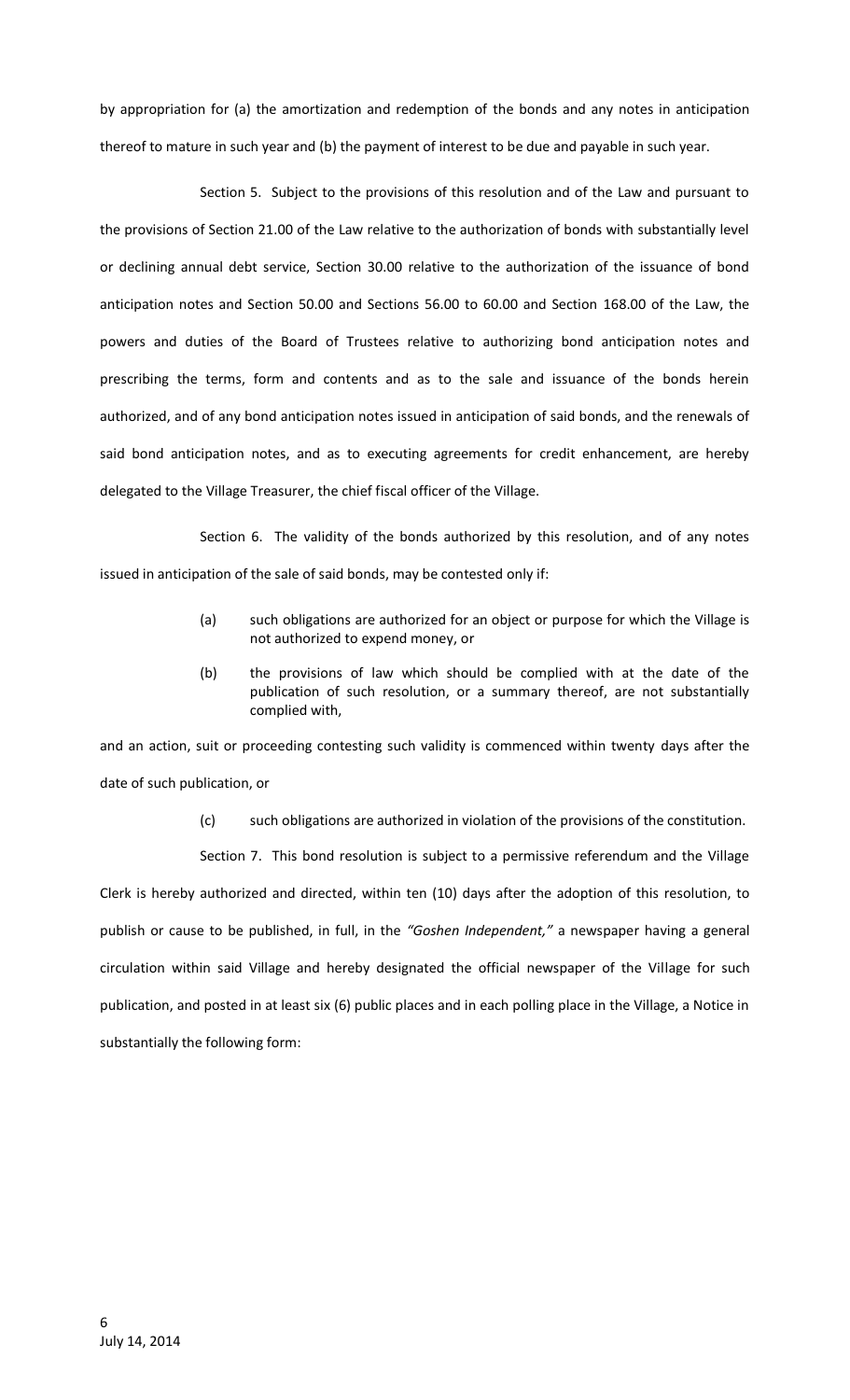by appropriation for (a) the amortization and redemption of the bonds and any notes in anticipation thereof to mature in such year and (b) the payment of interest to be due and payable in such year.

Section 5. Subject to the provisions of this resolution and of the Law and pursuant to the provisions of Section 21.00 of the Law relative to the authorization of bonds with substantially level or declining annual debt service, Section 30.00 relative to the authorization of the issuance of bond anticipation notes and Section 50.00 and Sections 56.00 to 60.00 and Section 168.00 of the Law, the powers and duties of the Board of Trustees relative to authorizing bond anticipation notes and prescribing the terms, form and contents and as to the sale and issuance of the bonds herein authorized, and of any bond anticipation notes issued in anticipation of said bonds, and the renewals of said bond anticipation notes, and as to executing agreements for credit enhancement, are hereby delegated to the Village Treasurer, the chief fiscal officer of the Village.

Section 6. The validity of the bonds authorized by this resolution, and of any notes issued in anticipation of the sale of said bonds, may be contested only if:

- (a) such obligations are authorized for an object or purpose for which the Village is not authorized to expend money, or
- (b) the provisions of law which should be complied with at the date of the publication of such resolution, or a summary thereof, are not substantially complied with,

and an action, suit or proceeding contesting such validity is commenced within twenty days after the date of such publication, or

(c) such obligations are authorized in violation of the provisions of the constitution.

Section 7. This bond resolution is subject to a permissive referendum and the Village Clerk is hereby authorized and directed, within ten (10) days after the adoption of this resolution, to publish or cause to be published, in full, in the *"Goshen Independent,"* a newspaper having a general circulation within said Village and hereby designated the official newspaper of the Village for such publication, and posted in at least six (6) public places and in each polling place in the Village, a Notice in substantially the following form: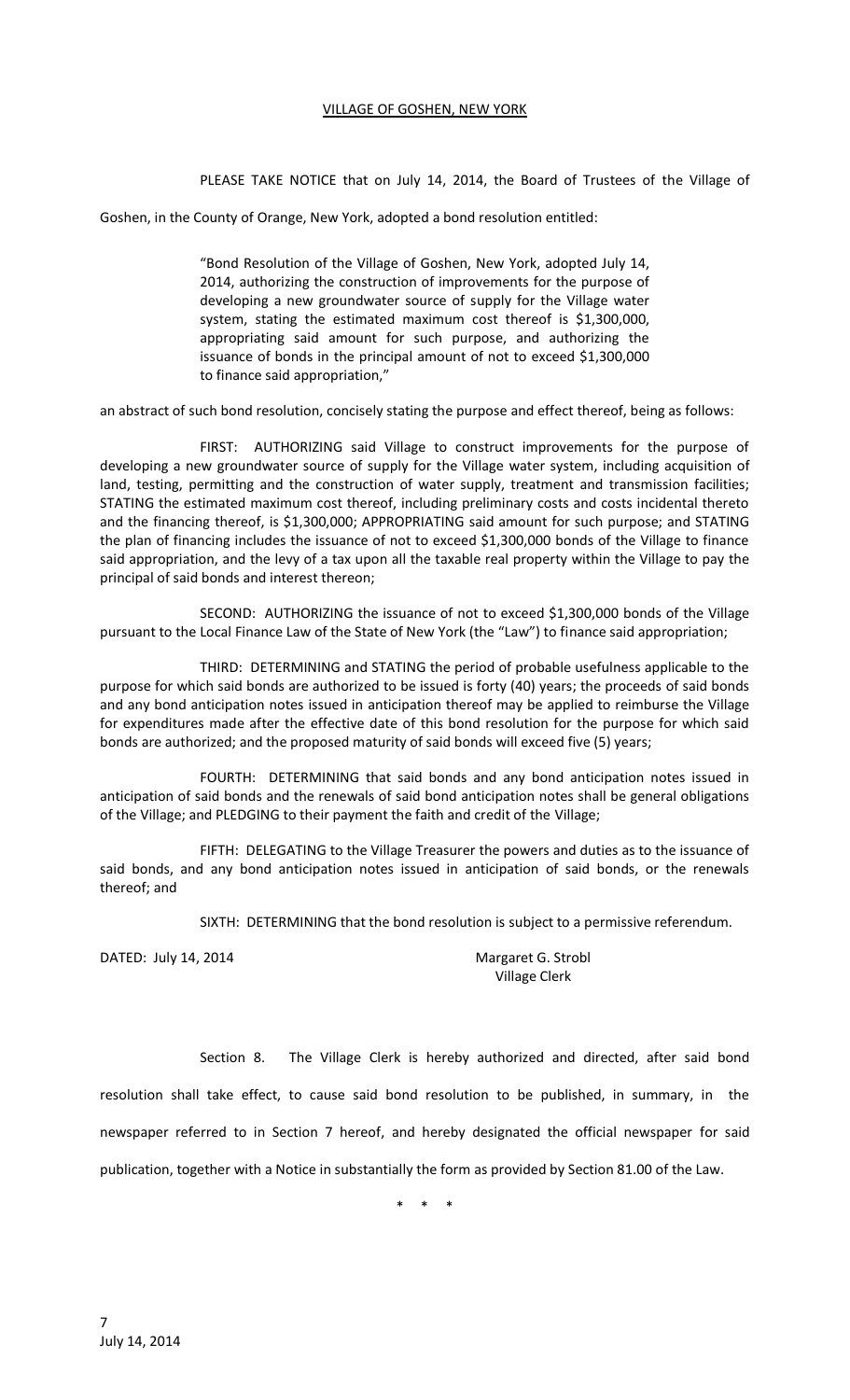## VILLAGE OF GOSHEN, NEW YORK

PLEASE TAKE NOTICE that on July 14, 2014, the Board of Trustees of the Village of

Goshen, in the County of Orange, New York, adopted a bond resolution entitled:

"Bond Resolution of the Village of Goshen, New York, adopted July 14, 2014, authorizing the construction of improvements for the purpose of developing a new groundwater source of supply for the Village water system, stating the estimated maximum cost thereof is \$1,300,000, appropriating said amount for such purpose, and authorizing the issuance of bonds in the principal amount of not to exceed \$1,300,000 to finance said appropriation,"

an abstract of such bond resolution, concisely stating the purpose and effect thereof, being as follows:

FIRST: AUTHORIZING said Village to construct improvements for the purpose of developing a new groundwater source of supply for the Village water system, including acquisition of land, testing, permitting and the construction of water supply, treatment and transmission facilities; STATING the estimated maximum cost thereof, including preliminary costs and costs incidental thereto and the financing thereof, is \$1,300,000; APPROPRIATING said amount for such purpose; and STATING the plan of financing includes the issuance of not to exceed \$1,300,000 bonds of the Village to finance said appropriation, and the levy of a tax upon all the taxable real property within the Village to pay the principal of said bonds and interest thereon;

SECOND: AUTHORIZING the issuance of not to exceed \$1,300,000 bonds of the Village pursuant to the Local Finance Law of the State of New York (the "Law") to finance said appropriation;

THIRD: DETERMINING and STATING the period of probable usefulness applicable to the purpose for which said bonds are authorized to be issued is forty (40) years; the proceeds of said bonds and any bond anticipation notes issued in anticipation thereof may be applied to reimburse the Village for expenditures made after the effective date of this bond resolution for the purpose for which said bonds are authorized; and the proposed maturity of said bonds will exceed five (5) years;

FOURTH: DETERMINING that said bonds and any bond anticipation notes issued in anticipation of said bonds and the renewals of said bond anticipation notes shall be general obligations of the Village; and PLEDGING to their payment the faith and credit of the Village;

FIFTH: DELEGATING to the Village Treasurer the powers and duties as to the issuance of said bonds, and any bond anticipation notes issued in anticipation of said bonds, or the renewals thereof; and

SIXTH: DETERMINING that the bond resolution is subject to a permissive referendum.

DATED: July 14, 2014 Margaret G. Strobl

Village Clerk

Section 8. The Village Clerk is hereby authorized and directed, after said bond resolution shall take effect, to cause said bond resolution to be published, in summary, in the newspaper referred to in Section 7 hereof, and hereby designated the official newspaper for said publication, together with a Notice in substantially the form as provided by Section 81.00 of the Law.

\* \* \*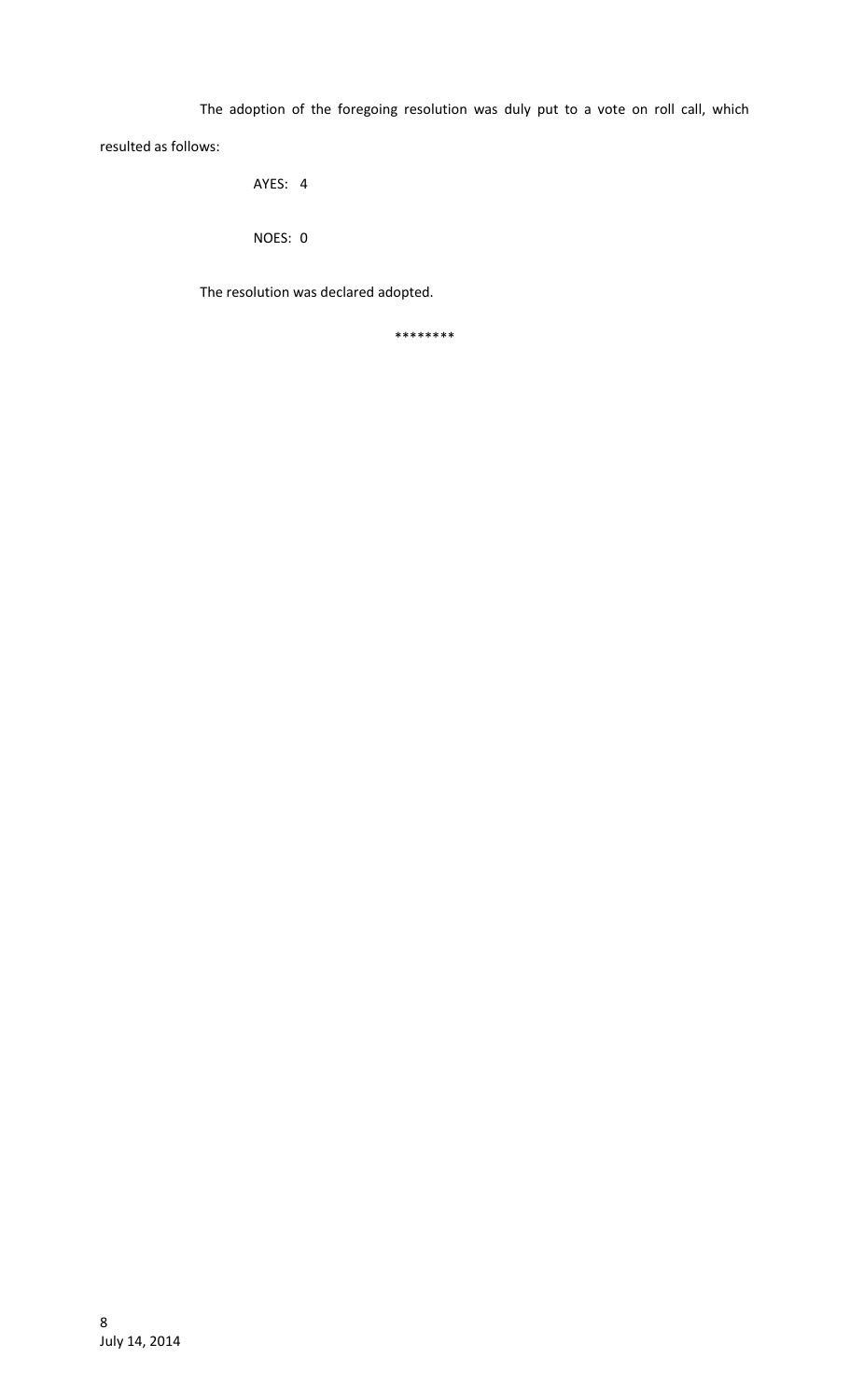The adoption of the foregoing resolution was duly put to a vote on roll call, which resulted as follows:

AYES: 4

NOES: 0

The resolution was declared adopted.

\*\*\*\*\*\*\*\*